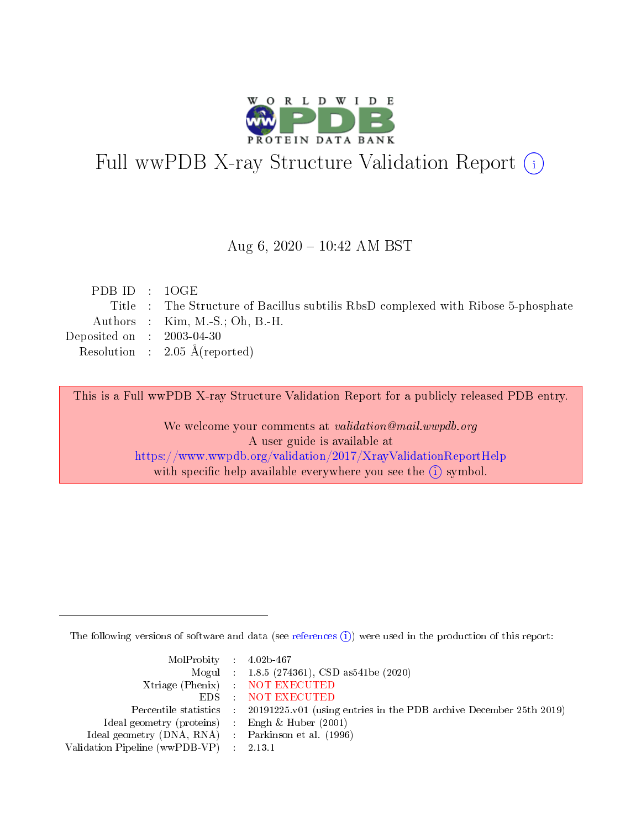

# Full wwPDB X-ray Structure Validation Report (i)

#### Aug 6,  $2020 - 10:42$  AM BST

| PDBID : 1OGE                |                                                                                   |
|-----------------------------|-----------------------------------------------------------------------------------|
|                             | Title : The Structure of Bacillus subtilis RbsD complexed with Ribose 5-phosphate |
|                             | Authors : $Kim, M.-S.; Oh, B.-H.$                                                 |
| Deposited on : $2003-04-30$ |                                                                                   |
|                             | Resolution : $2.05 \text{ Å}$ (reported)                                          |
|                             |                                                                                   |

This is a Full wwPDB X-ray Structure Validation Report for a publicly released PDB entry.

We welcome your comments at validation@mail.wwpdb.org A user guide is available at <https://www.wwpdb.org/validation/2017/XrayValidationReportHelp> with specific help available everywhere you see the  $(i)$  symbol.

The following versions of software and data (see [references](https://www.wwpdb.org/validation/2017/XrayValidationReportHelp#references)  $(i)$ ) were used in the production of this report:

| $MolProbability$ 4.02b-467                          |                                                                                            |
|-----------------------------------------------------|--------------------------------------------------------------------------------------------|
|                                                     | Mogul : $1.8.5$ (274361), CSD as 541be (2020)                                              |
|                                                     | Xtriage (Phenix) NOT EXECUTED                                                              |
|                                                     | EDS NOT EXECUTED                                                                           |
|                                                     | Percentile statistics : 20191225.v01 (using entries in the PDB archive December 25th 2019) |
| Ideal geometry (proteins)                           | Engh & Huber $(2001)$                                                                      |
| Ideal geometry (DNA, RNA) : Parkinson et al. (1996) |                                                                                            |
| Validation Pipeline (wwPDB-VP) : 2.13.1             |                                                                                            |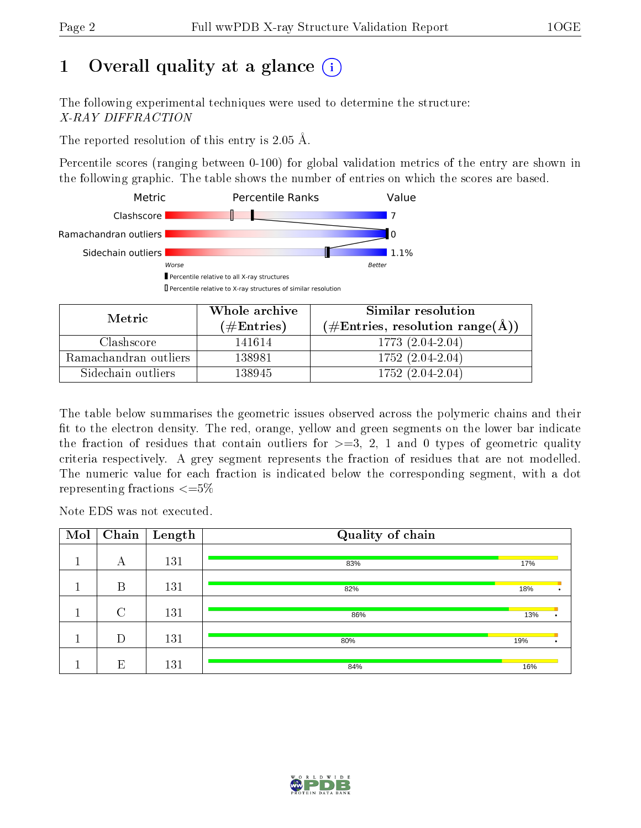# 1 [O](https://www.wwpdb.org/validation/2017/XrayValidationReportHelp#overall_quality)verall quality at a glance  $(i)$

The following experimental techniques were used to determine the structure: X-RAY DIFFRACTION

The reported resolution of this entry is 2.05 Å.

Percentile scores (ranging between 0-100) for global validation metrics of the entry are shown in the following graphic. The table shows the number of entries on which the scores are based.



| Metric                | Whole archive<br>(# $\rm{Entries}$ ) | Similar resolution<br>$(\#\text{Entries}, \text{resolution range}(\text{\AA})\)$ |
|-----------------------|--------------------------------------|----------------------------------------------------------------------------------|
| Clashscore            | 141614                               | 1773 (2.04-2.04)                                                                 |
| Ramachandran outliers | 138981                               | $1752(2.04-2.04)$                                                                |
| Sidechain outliers    | 138945                               | $1752(2.04-2.04)$                                                                |

The table below summarises the geometric issues observed across the polymeric chains and their fit to the electron density. The red, orange, yellow and green segments on the lower bar indicate the fraction of residues that contain outliers for  $\geq=3$ , 2, 1 and 0 types of geometric quality criteria respectively. A grey segment represents the fraction of residues that are not modelled. The numeric value for each fraction is indicated below the corresponding segment, with a dot representing fractions  $\leq=5\%$ 

Note EDS was not executed.

| Mol | Chain  | Length | Quality of chain |     |  |
|-----|--------|--------|------------------|-----|--|
|     | А      | 131    | 83%              | 17% |  |
|     |        |        |                  |     |  |
|     | B      | 131    | 82%              | 18% |  |
|     | $\cap$ | 131    | 86%              | 13% |  |
|     | D      | 131    | 80%              | 19% |  |
|     | E      | 131    | 84%              | 16% |  |

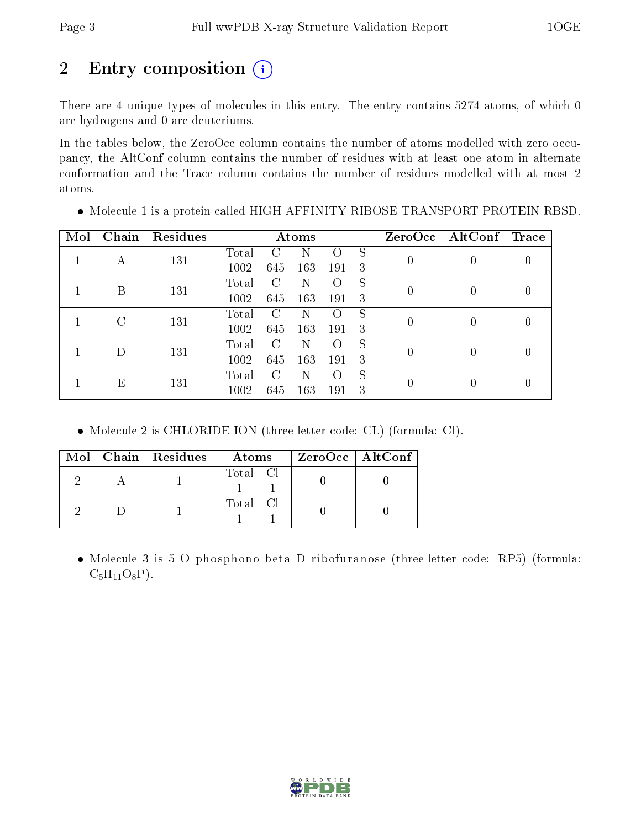# 2 Entry composition (i)

There are 4 unique types of molecules in this entry. The entry contains 5274 atoms, of which 0 are hydrogens and 0 are deuteriums.

In the tables below, the ZeroOcc column contains the number of atoms modelled with zero occupancy, the AltConf column contains the number of residues with at least one atom in alternate conformation and the Trace column contains the number of residues modelled with at most 2 atoms.

| Mol | Chain  | Residues |       |     | Atoms |                    |   | ZeroOcc          | $\mid$ AltConf $\mid$ | $\operatorname{Trace}$ |
|-----|--------|----------|-------|-----|-------|--------------------|---|------------------|-----------------------|------------------------|
|     |        | 131      | Total | C   |       |                    | S | $\left( \right)$ | 0                     |                        |
|     | А      |          | 1002  | 645 | 163   | 191                | 3 |                  |                       |                        |
|     | B      | 131      | Total | C   | N     |                    | S | 0                | 0                     |                        |
|     |        |          | 1002  | 645 | 163   | 191                | 3 |                  |                       |                        |
|     | $\cap$ | 131      | Total | C   | N     | $\left( \ \right)$ | S | 0                | 0                     |                        |
|     |        |          | 1002  | 645 | 163   | 191                | 3 |                  |                       |                        |
|     | D      | 131      | Total | C   | N     | $\left( \right)$   | S | 0                | 0                     |                        |
|     |        |          | 1002  | 645 | 163   | 191                | 3 |                  |                       |                        |
|     | E      | 131      | Total | C   | N     | $\left( \right)$   | S | 0                |                       |                        |
|     |        | 1002     | 645   | 163 | 191   | 3                  |   |                  |                       |                        |

Molecule 1 is a protein called HIGH AFFINITY RIBOSE TRANSPORT PROTEIN RBSD.

Molecule 2 is CHLORIDE ION (three-letter code: CL) (formula: Cl).

|  | Mol   Chain   Residues | Atoms    | $ZeroOcc \mid AltConf \mid$ |
|--|------------------------|----------|-----------------------------|
|  |                        | Total Cl |                             |
|  |                        | Total Cl |                             |

• Molecule 3 is 5-O-phosphono-beta-D-ribofuranose (three-letter code: RP5) (formula:  $C_5H_{11}O_8P$ ).

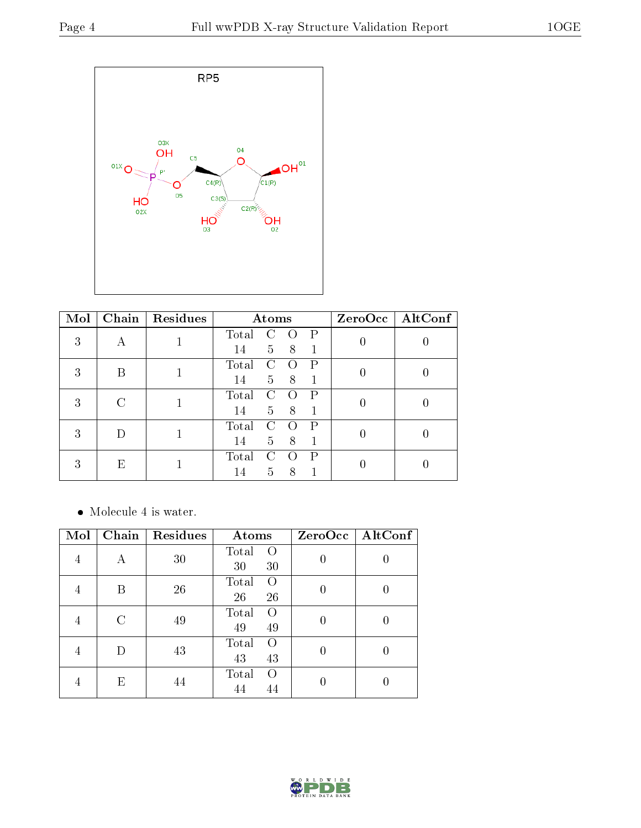

| Mol |   | Chain   Residues | Atoms |                |               |              | ZeroOcc   AltConf |  |
|-----|---|------------------|-------|----------------|---------------|--------------|-------------------|--|
| 3   |   |                  | Total |                |               | Ρ            |                   |  |
|     | А |                  | 14    | 5 <sup>5</sup> | 8             | $\mathbf{1}$ |                   |  |
| 3   | В |                  | Total | 0              |               | P            |                   |  |
|     |   |                  | 14    | $5^{\circ}$    | 8             | 1            |                   |  |
| 3   |   | C                |       | Total          | $\mathcal{C}$ |              | Ρ                 |  |
|     |   |                  | 14    | $\overline{5}$ | 8             |              |                   |  |
| 3   |   |                  | Total |                |               | Р            |                   |  |
|     |   |                  | 14    | 5 <sup>1</sup> | 8             | $\mathbf{1}$ |                   |  |
| 3   | Е |                  | Total |                |               | Ρ            |                   |  |
|     |   |                  | 14    | 5              | 8             |              |                   |  |

Molecule 4 is water.

| Mol | Chain | Residues | Atoms                                 | ZeroOcc   AltConf |
|-----|-------|----------|---------------------------------------|-------------------|
| 4   | А     | 30       | Total<br>$\left( \right)$<br>30<br>30 |                   |
| 4   | В     | 26       | Total<br>O<br>26<br>26                | 0                 |
| 4   |       | 49       | Total<br>$\Omega$<br>49<br>49         |                   |
| 4   |       | 43       | Total<br>Ω<br>43<br>43                |                   |
| 4   | Е     | 44       | Total<br>$\left( \right)$<br>44<br>44 |                   |

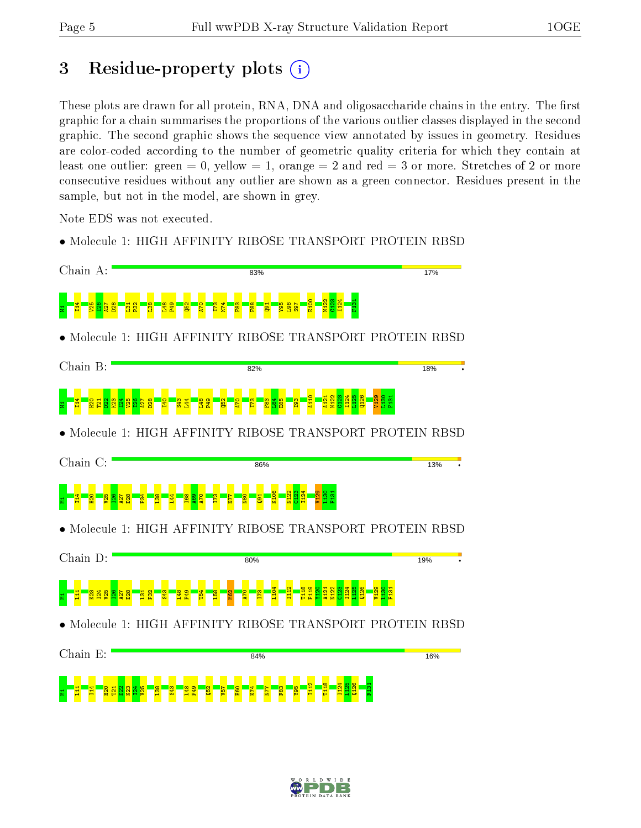# 3 Residue-property plots  $(i)$

These plots are drawn for all protein, RNA, DNA and oligosaccharide chains in the entry. The first graphic for a chain summarises the proportions of the various outlier classes displayed in the second graphic. The second graphic shows the sequence view annotated by issues in geometry. Residues are color-coded according to the number of geometric quality criteria for which they contain at least one outlier: green  $= 0$ , yellow  $= 1$ , orange  $= 2$  and red  $= 3$  or more. Stretches of 2 or more consecutive residues without any outlier are shown as a green connector. Residues present in the sample, but not in the model, are shown in grey.

Note EDS was not executed.

• Molecule 1: HIGH AFFINITY RIBOSE TRANSPORT PROTEIN RBSD



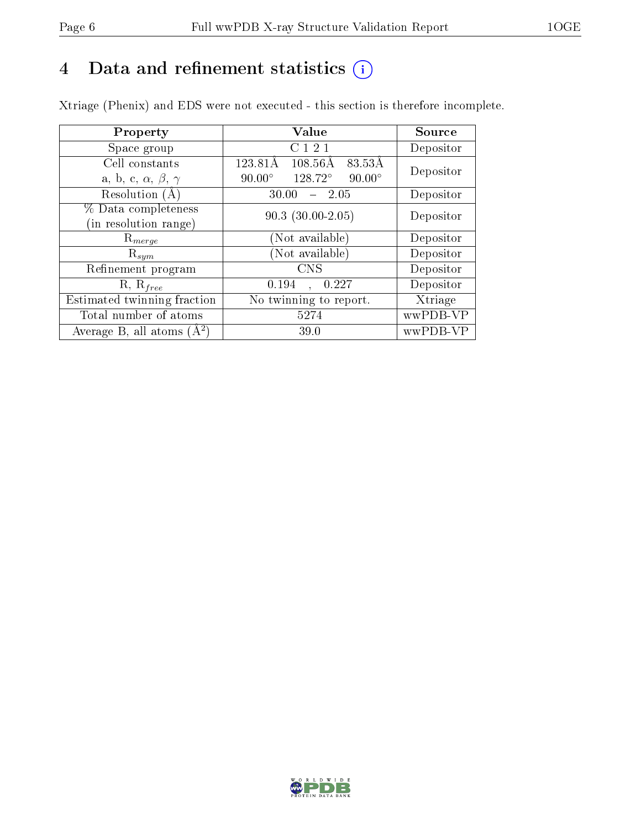# 4 Data and refinement statistics  $(i)$

Xtriage (Phenix) and EDS were not executed - this section is therefore incomplete.

| Property                               | Value                                              | Source    |
|----------------------------------------|----------------------------------------------------|-----------|
| Space group                            | C121                                               | Depositor |
| Cell constants                         | 123.81Å<br>$108.56\text{\AA}$<br>83.53Å            | Depositor |
| a, b, c, $\alpha$ , $\beta$ , $\gamma$ | $128.72^{\circ}$<br>$90.00^\circ$<br>$90.00^\circ$ |           |
| Resolution (A)                         | 30.00<br>- 2.05                                    | Depositor |
| % Data completeness                    | $90.3(30.00-2.05)$                                 | Depositor |
| in resolution range)                   |                                                    |           |
| $\mathrm{R}_{merge}$                   | (Not available)                                    | Depositor |
| $\mathrm{R}_{sym}$                     | (Not available)                                    | Depositor |
| Refinement program                     | <b>CNS</b>                                         | Depositor |
| $R, R_{free}$                          | 0.194<br>0.227<br>$\ddot{\phantom{a}}$             | Depositor |
| Estimated twinning fraction            | No twinning to report.                             | Xtriage   |
| Total number of atoms                  | 5274                                               | wwPDB-VP  |
| Average B, all atoms $(A^2)$           | 39.0                                               | wwPDB-VP  |

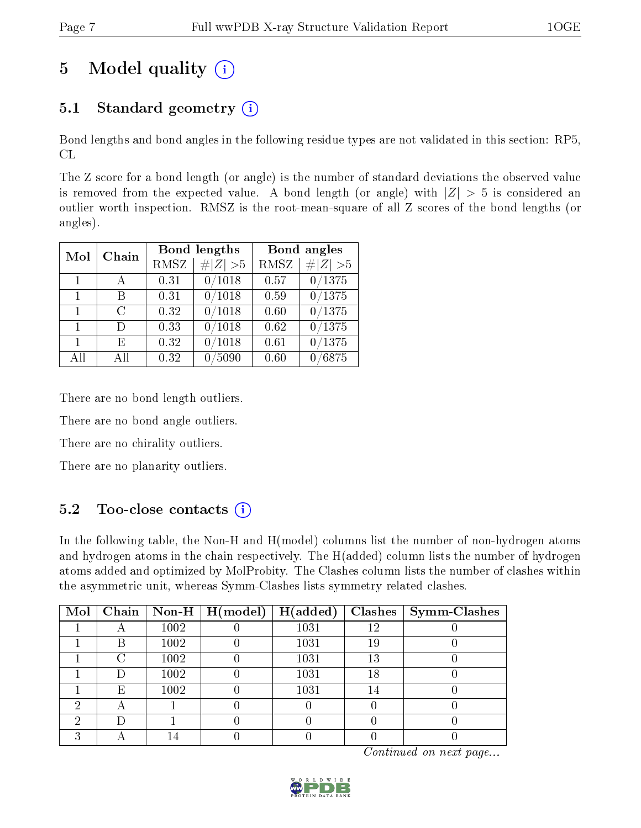# 5 Model quality  $(i)$

## 5.1 Standard geometry  $(i)$

Bond lengths and bond angles in the following residue types are not validated in this section: RP5, CL

The Z score for a bond length (or angle) is the number of standard deviations the observed value is removed from the expected value. A bond length (or angle) with  $|Z| > 5$  is considered an outlier worth inspection. RMSZ is the root-mean-square of all Z scores of the bond lengths (or angles).

| Mol          | Chain         |                    | Bond lengths      |      | Bond angles |
|--------------|---------------|--------------------|-------------------|------|-------------|
|              |               | RMSZ<br>   Z   > 5 |                   | RMSZ | # $ Z  > 5$ |
| $\mathbf{1}$ | А             | 0.31               | 0/1018            | 0.57 | 0/1375      |
| $\mathbf{1}$ | В             | 0.31               | 0/1018            | 0.59 | 0/1375      |
| $\mathbf{1}$ | $\mathcal{C}$ | 0.32               | 0/1018            | 0.60 | 0/1375      |
| $\mathbf{1}$ | D             | 0.33               | 0/1018            | 0.62 | 0/1375      |
| $\mathbf{1}$ | E             | 0.32               | /1018<br>$\Omega$ | 0.61 | 0/1375      |
| All          | Αll           | 0.32               | 0/5090            | 0.60 | 0/6875      |

There are no bond length outliers.

There are no bond angle outliers.

There are no chirality outliers.

There are no planarity outliers.

### 5.2 Too-close contacts  $(i)$

In the following table, the Non-H and H(model) columns list the number of non-hydrogen atoms and hydrogen atoms in the chain respectively. The H(added) column lists the number of hydrogen atoms added and optimized by MolProbity. The Clashes column lists the number of clashes within the asymmetric unit, whereas Symm-Clashes lists symmetry related clashes.

|   |   |      | Mol   Chain   Non-H   H(model) | H(added) |    | Clashes   Symm-Clashes |
|---|---|------|--------------------------------|----------|----|------------------------|
|   |   | 1002 |                                | 1031     | 12 |                        |
|   | B | 1002 |                                | 1031     | 19 |                        |
|   |   | 1002 |                                | 1031     | 13 |                        |
|   |   | 1002 |                                | 1031     | 18 |                        |
|   | Ε | 1002 |                                | 1031     | 14 |                        |
|   |   |      |                                |          |    |                        |
| റ |   |      |                                |          |    |                        |
| ົ |   |      |                                |          |    |                        |

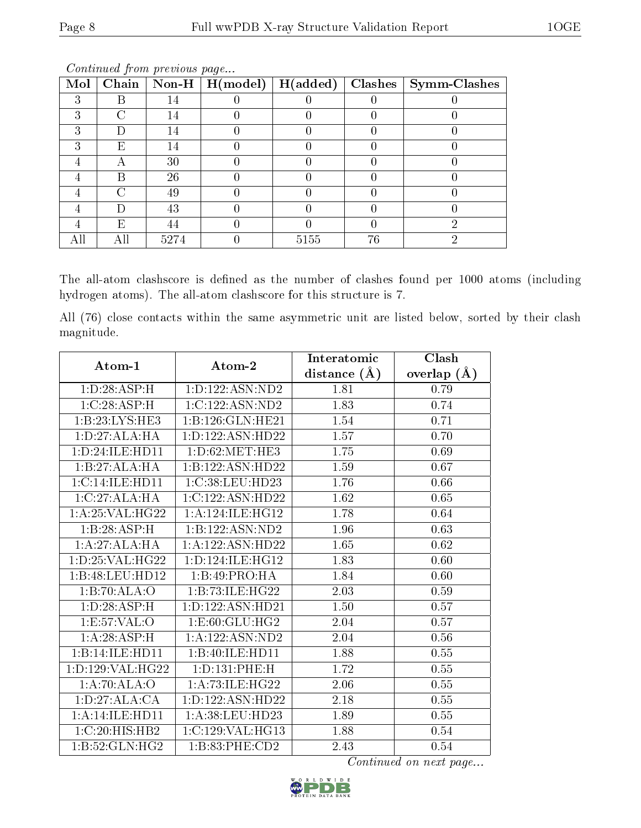| Mol |                    |      | $\fbox{Chain}$ $\fbox{Non-H}$ $\fbox{H(model)}$ | $\overline{\mathrm{H}}(\mathrm{added})$ |    | $\mid$ Clashes $\mid$ Symm-Clashes |
|-----|--------------------|------|-------------------------------------------------|-----------------------------------------|----|------------------------------------|
| 3   | R                  | 14   |                                                 |                                         |    |                                    |
| ົ   |                    | 14   |                                                 |                                         |    |                                    |
|     |                    | 14   |                                                 |                                         |    |                                    |
|     | E                  | 14   |                                                 |                                         |    |                                    |
|     |                    | 30   |                                                 |                                         |    |                                    |
|     | R                  | 26   |                                                 |                                         |    |                                    |
|     | $\curvearrowright$ | 49   |                                                 |                                         |    |                                    |
|     |                    | 43   |                                                 |                                         |    |                                    |
|     | F,                 | 44   |                                                 |                                         |    |                                    |
| All |                    | 5274 |                                                 | 5155                                    | 76 |                                    |

Continued from previous page...

The all-atom clashscore is defined as the number of clashes found per 1000 atoms (including hydrogen atoms). The all-atom clashscore for this structure is 7.

All (76) close contacts within the same asymmetric unit are listed below, sorted by their clash magnitude.

| Atom-1              | Atom-2               | Interatomic      | Clash         |  |
|---------------------|----------------------|------------------|---------------|--|
|                     |                      | distance $(\AA)$ | overlap $(A)$ |  |
| 1: D:28: ASP:H      | 1:D:122:ASN:ND2      | 1.81             | 0.79          |  |
| 1:C:28:ASP:H        | 1:C:122:ASN:ND2      | 1.83             | 0.74          |  |
| 1:B:23:LYS:HE3      | 1:B:126:GLN:HE21     | 1.54             | 0.71          |  |
| 1: D: 27: ALA: HA   | 1: D: 122: ASN: HD22 | 1.57             | 0.70          |  |
| 1: D: 24: ILE: HD11 | 1: D:62:MET:HE3      | 1.75             | 0.69          |  |
| 1:B:27:ALA:HA       | 1:B:122:ASN:HD22     | 1.59             | 0.67          |  |
| 1:C:14:ILE:HD11     | 1:C:38:LEU:HD23      | 1.76             | 0.66          |  |
| 1:C:27:ALA:HA       | 1:C:122:ASN:HD22     | 1.62             | 0.65          |  |
| 1:A:25:VAL:HG22     | 1:A:124:ILE:HG12     | 1.78             | 0.64          |  |
| 1:B:28:ASP:H        | 1:B:122:ASN:ND2      | 1.96             | 0.63          |  |
| 1:A:27:ALA:HA       | 1:A:122:ASN:HD22     | 1.65             | $0.62\,$      |  |
| 1: D: 25: VAL:HG22  | 1: D: 124: ILE: HG12 | 1.83             | 0.60          |  |
| 1:B:48:LEU:HD12     | 1:B:49:PRO:HA        | 1.84             | 0.60          |  |
| 1:B:70:ALA:O        | 1:B:73:ILE:HG22      | 2.03             | 0.59          |  |
| 1: D: 28: ASP:H     | 1: D: 122: ASN: HD21 | 1.50             | 0.57          |  |
| 1:E:57:VAL:O        | 1:E:60:GLU:HG2       | 2.04             | 0.57          |  |
| 1:A:28:ASP:H        | 1:A:122:ASN:ND2      | 2.04             | 0.56          |  |
| 1:B:14:ILE:HD11     | 1:B:40:ILE:HD11      | 1.88             | $0.55\,$      |  |
| 1: D: 129: VAL:HG22 | 1:D:131:PHE:H        | 1.72             | 0.55          |  |
| 1:A:70:ALA:O        | 1: A:73: ILE: HG22   | 2.06             | 0.55          |  |
| 1: D:27: ALA:CA     | 1: D: 122: ASN: HD22 | 2.18             | 0.55          |  |
| 1:A:14:ILE:HD11     | 1:A:38:LEU:HD23      | 1.89             | 0.55          |  |
| 1:C:20:HIS:HB2      | 1:C:129:VAL:HG13     | 1.88             | 0.54          |  |
| 1:B:52:GLN:HG2      | 1:B:83:PHE:CD2       | 2.43             | 0.54          |  |

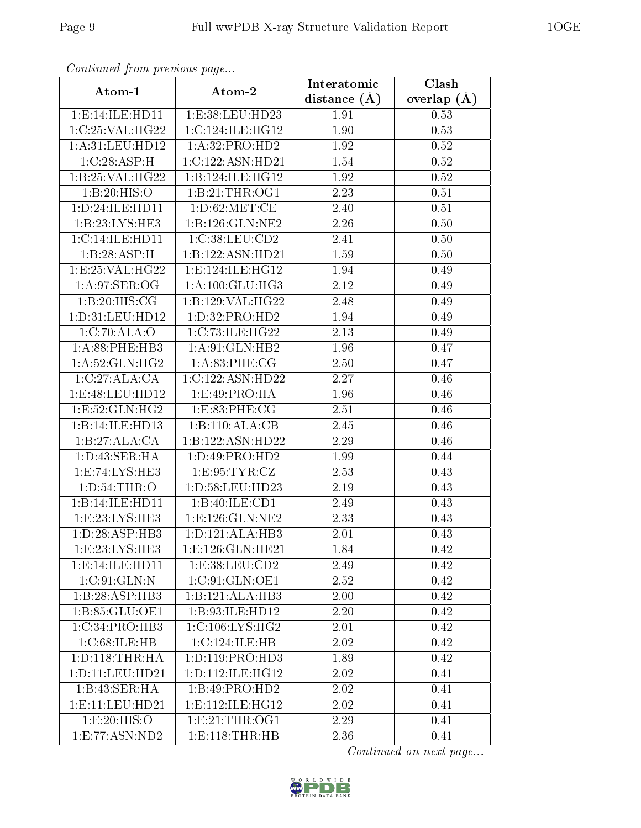| Communa from previous page |                                      | Interatomic      | Clash           |  |  |
|----------------------------|--------------------------------------|------------------|-----------------|--|--|
| Atom-1                     | Atom-2                               | distance $(\AA)$ | overlap $(\AA)$ |  |  |
| 1:E:14:ILE:HD11            | 1:E:38:LEU:HD23                      | 1.91             | 0.53            |  |  |
| 1:C:25:VAL:HG22            | $1:C:124:I\overline{\text{LE:HG12}}$ | 1.90             | 0.53            |  |  |
| 1: A:31: LEU: HD12         | 1:A:32:PRO:HD2                       | 1.92             | 0.52            |  |  |
| 1:C:28:ASP:H               | 1:C:122:ASN:HD21                     | 1.54             | 0.52            |  |  |
| 1:B:25:VAL:HG22            | 1:B:124:ILE:HG12                     | 1.92             | 0.52            |  |  |
| 1:B:20:HIS:O               | 1:B:21:THR:OG1                       | 2.23             | 0.51            |  |  |
| 1:D:24:ILE:HD11            | 1: D:62: MET:CE                      | 2.40             | 0.51            |  |  |
| 1:B:23:LYS:HE3             | 1:B:126:GLN:NE2                      | 2.26             | 0.50            |  |  |
| 1:C:14:ILE:HD11            | 1:C:38:LEU:CD2                       | 2.41             | 0.50            |  |  |
| 1:B:28:ASP:H               | 1:B:122:ASN:HD21                     | 1.59             | 0.50            |  |  |
| 1:E:25:VAL:HG22            | 1: E: 124: ILE: HG12                 | 1.94             | 0.49            |  |  |
| 1: A:97: SER:OG            | 1: A: 100: GLU: HG3                  | 2.12             | 0.49            |  |  |
| 1:B:20:HIS:CG              | 1:B:129:VAL:HG22                     | 2.48             | 0.49            |  |  |
| 1:D:31:LEU:HD12            | 1:D:32:PRO:HD2                       | 1.94             | 0.49            |  |  |
| 1:C:70:ALA:O               | 1:C:73:ILE:HG22                      | 2.13             | 0.49            |  |  |
| 1: A:88:PHE:HB3            | 1: A:91: GLN: HB2                    | 1.96             | 0.47            |  |  |
| 1: A:52: GLN: HG2          | 1:A:83:PHE:CG                        | 2.50             | 0.47            |  |  |
| 1:C:27:ALA:CA              | 1:C:122:ASN:HD22                     | 2.27             | 0.46            |  |  |
| 1:E:48:LEU:HD12            | 1:E:49:PRO:HA                        | 1.96             | 0.46            |  |  |
| 1:E:52:GLN:HG2             | 1:E:83:PHE:CG                        | 2.51             | 0.46            |  |  |
| 1:B:14:ILE:HD13            | 1:B:110:ALA:CB                       | 2.45             | 0.46            |  |  |
| 1:B:27:ALA:CA              | 1:B:122:ASN:HD22                     | 2.29             | 0.46            |  |  |
| 1: D: 43: SER: HA          | 1: D: 49: PRO: HD2                   | 1.99             | 0.44            |  |  |
| 1:E:74:LYS:HE3             | 1:E:95:TYR:CZ                        | 2.53             | 0.43            |  |  |
| 1: D:54:THR:O              | 1:D:58:LEU:HD23                      | 2.19             | 0.43            |  |  |
| 1:B:14:ILE:HD11            | 1:B:40:ILE:CD1                       | 2.49             | 0.43            |  |  |
| 1:E:23:LYS:HE3             | 1:E:126:GLN:NE2                      | 2.33             | 0.43            |  |  |
| 1: D:28:ASP:HB3            | 1:D:121:ALA:HB3                      | 2.01             | 0.43            |  |  |
| 1: E: 23: LYS: HE3         | 1: E: 126: GLN: HE21                 | 1.84             | 0.42            |  |  |
| 1:E:14:ILE:HD11            | 1:E:38:LEU:CD2                       | 2.49             | 0.42            |  |  |
| 1:C:91:GLN:N               | 1:C:91:GLN:OE1                       | 2.52             | 0.42            |  |  |
| 1:B:28:ASP:HB3             | 1:B:121:ALA:HB3                      | 2.00             | 0.42            |  |  |
| 1:B:85:GLU:OE1             | 1:B:93:ILE:HD12                      | 2.20             | 0.42            |  |  |
| 1:C:34:PRO:HB3             | 1:C:106:LYS:HG2                      | 2.01             | 0.42            |  |  |
| 1:C:68:ILE:HB              | 1:C:124:ILE:HB                       | 2.02             | 0.42            |  |  |
| 1: D: 118: THR: HA         | 1:D:119:PRO:HD3                      | 1.89             | 0.42            |  |  |
| 1: D: 11: LEU: HD21        | 1: D: 112: ILE: HG12                 | 2.02             | 0.41            |  |  |
| 1:B:43:SER:HA              | 1:B:49:PRO:HD2                       | 2.02             | 0.41            |  |  |
| 1: E: 11: LEU: HD21        | 1: E: 112: ILE: HG12                 | 2.02             | 0.41            |  |  |
| 1:E:20:HIS:O               | 1: E:21:THR:OG1                      | 2.29             | 0.41            |  |  |
| 1:E:77:ASN:ND2             | 1: E: 118: THR: HB                   | 2.36             | 0.41            |  |  |

Continued from previous page.

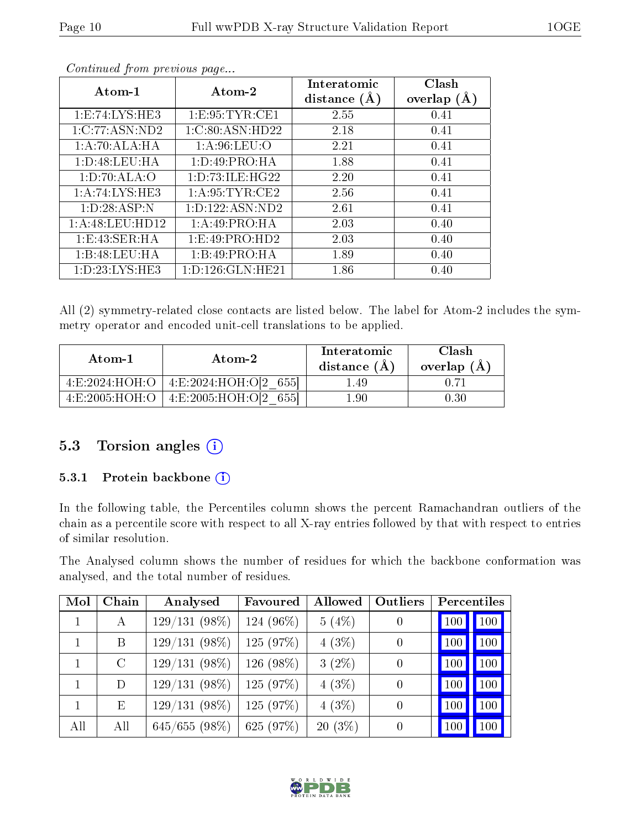| Atom-1             | Atom-2               | Interatomic    | Clash         |
|--------------------|----------------------|----------------|---------------|
|                    |                      | distance $(A)$ | overlap $(A)$ |
| 1: E: 74: LYS: HE3 | 1: E: 95: TYR: CE1   | 2.55           | 0.41          |
| 1:C:77:ASN:ND2     | 1:C:80:ASN:HD22      | 2.18           | 0.41          |
| 1:A:70:ALA:HA      | 1: A:96:LEU:O        | 2.21           | 0.41          |
| 1: D:48: LEU: HA   | 1:D:49:PRO:HA        | 1.88           | 0.41          |
| 1: D: 70: ALA: O   | 1: D: 73: ILE: HG22  | 2.20           | 0.41          |
| 1:A:74:LYS:HE3     | 1: A:95:TYR:CE2      | 2.56           | 0.41          |
| 1: D: 28: ASP: N   | 1:D:122:ASN:ND2      | 2.61           | 0.41          |
| 1: A:48:LEU:HD12   | 1:A:49:PRO:HA        | 2.03           | 0.40          |
| 1: E:43: SER: HA   | 1:E:49:PRO:HD2       | 2.03           | 0.40          |
| 1:B:48:LEU:HA      | 1:B:49:PRO:HA        | 1.89           | 0.40          |
| 1: D: 23: LYS: HE3 | 1: D: 126: GLN: HE21 | 1.86           | 0.40          |

Continued from previous page...

All (2) symmetry-related close contacts are listed below. The label for Atom-2 includes the symmetry operator and encoded unit-cell translations to be applied.

| Atom-1             | Atom-2                    | Interatomic<br>distance (A) | Clash<br>overlap $(A)$ |
|--------------------|---------------------------|-----------------------------|------------------------|
| 4:E:2024:HOH:O     | 4:E:2024:HOH:O[2]<br>6551 | l 49                        |                        |
| 4: E: 2005: HOH: O | 4:E:2005:HOH:O[2]         | 1.90                        | 0.30                   |

#### 5.3 Torsion angles (i)

#### 5.3.1 Protein backbone (i)

In the following table, the Percentiles column shows the percent Ramachandran outliers of the chain as a percentile score with respect to all X-ray entries followed by that with respect to entries of similar resolution.

The Analysed column shows the number of residues for which the backbone conformation was analysed, and the total number of residues.

| Mol | Chain   | Analysed        | Favoured    | Outliers<br>Allowed |                  | Percentiles    |
|-----|---------|-----------------|-------------|---------------------|------------------|----------------|
| 1.  | А       | $129/131(98\%)$ | 124 (96%)   | 5(4%)               | $\left( \right)$ | 100<br>$100\,$ |
|     | B       | $129/131(98\%)$ | 125 (97%)   | $4(3\%)$            | $\theta$         | 100<br>100     |
|     | $\rm C$ | $129/131(98\%)$ | 126 (98%)   | $3(2\%)$            | $\theta$         | 100<br>100     |
|     | D       | $129/131(98\%)$ | 125 (97%)   | 4(3%)               | $\theta$         | 100<br>100     |
|     | E       | $129/131(98\%)$ | 125 (97%)   | 4(3%)               | $\theta$         | 100<br>100     |
| All | All     | 645/655(98%)    | 625 $(97%)$ | $20(3\%)$           | $\theta$         | 100            |

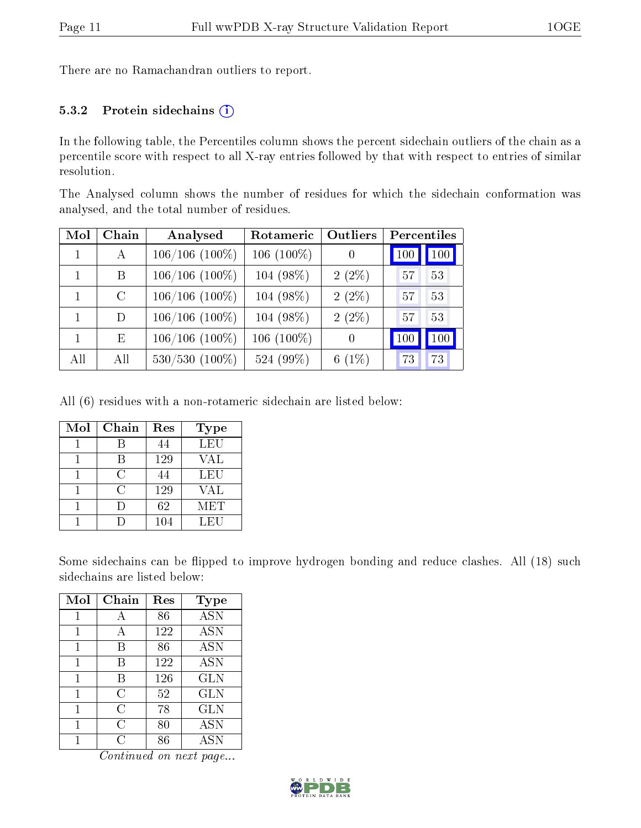There are no Ramachandran outliers to report.

#### 5.3.2 Protein sidechains  $(i)$

In the following table, the Percentiles column shows the percent sidechain outliers of the chain as a percentile score with respect to all X-ray entries followed by that with respect to entries of similar resolution.

The Analysed column shows the number of residues for which the sidechain conformation was analysed, and the total number of residues.

| Mol | Chain         | Analysed            | <b>Outliers</b><br>Rotameric |          | Percentiles |  |  |
|-----|---------------|---------------------|------------------------------|----------|-------------|--|--|
|     | A             | $106/106(100\%)$    | $106(100\%)$                 | $\theta$ | 100<br>100  |  |  |
|     | B             | $106/106(100\%)$    | $104(98\%)$                  | $2(2\%)$ | 53<br>57    |  |  |
|     | $\mathcal{C}$ | $106/106(100\%)$    | 104 (98%)                    | $2(2\%)$ | 53<br>57    |  |  |
| 1   | D             | $106/106$ $(100\%)$ | 104 (98%)                    | $2(2\%)$ | 53<br>57    |  |  |
|     | E             | $106/106(100\%)$    | $106(100\%)$                 | $\theta$ | 100<br>100  |  |  |
| All | All           | $530/530$ $(100\%)$ | 524 (99%)                    | $6(1\%)$ | 73<br>73    |  |  |

All (6) residues with a non-rotameric sidechain are listed below:

| Mol | Chain | Res | <b>Type</b> |
|-----|-------|-----|-------------|
|     |       | 44  | LEU         |
|     | В     | 129 | VAL         |
|     | C     | 44  | LEU         |
|     | C     | 129 | VAL         |
|     | Ð     | 62  | MET         |
|     |       | 104 | LEU         |

Some sidechains can be flipped to improve hydrogen bonding and reduce clashes. All (18) such sidechains are listed below:

| Mol | Chain | Res | <b>Type</b>       |
|-----|-------|-----|-------------------|
| 1   | А     | 86  | <b>ASN</b>        |
| 1   | A     | 122 | <b>ASN</b>        |
| 1   | В     | 86  | $\overline{A}$ SN |
| 1   | B     | 122 | <b>ASN</b>        |
| 1   | В     | 126 | <b>GLN</b>        |
| 1   | С     | 52  | <b>GLN</b>        |
| 1   | С     | 78  | <b>GLN</b>        |
| 1   | С     | 80  | <b>ASN</b>        |
|     | C     | 86  | ASN               |

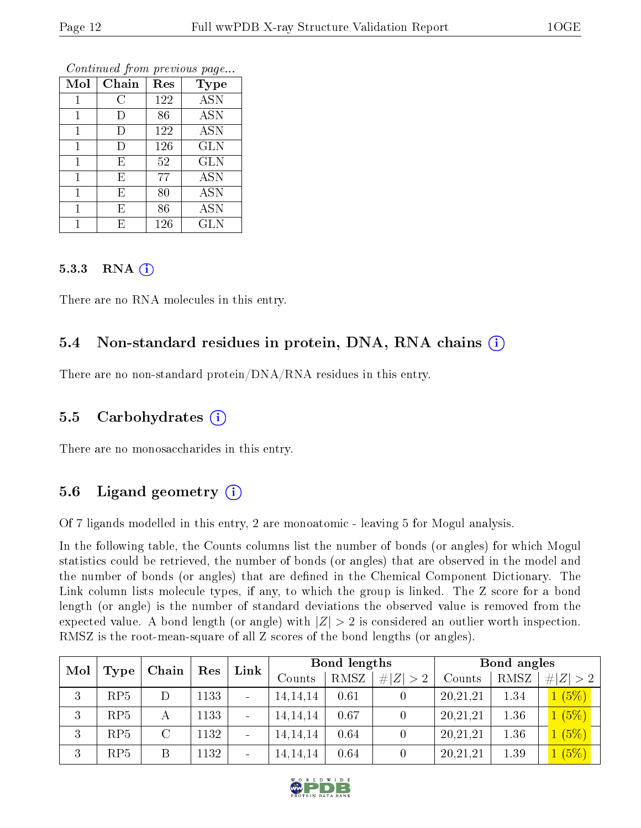| Mol | Chain  | Res | <b>Type</b> |
|-----|--------|-----|-------------|
|     | С      | 122 | <b>ASN</b>  |
| 1   | I)     | 86  | <b>ASN</b>  |
| 1   | $\Box$ | 122 | <b>ASN</b>  |
|     | Ð      | 126 | <b>GLN</b>  |
|     | E      | 52  | <b>GLN</b>  |
| 1   | Ε      | 77  | <b>ASN</b>  |
| 1   | E      | 80  | <b>ASN</b>  |
|     | E      | 86  | <b>ASN</b>  |
|     | F,     | 126 | <b>GLN</b>  |

Continued from previous page...

#### 5.3.3 RNA $(i)$

There are no RNA molecules in this entry.

### 5.4 Non-standard residues in protein, DNA, RNA chains  $(i)$

There are no non-standard protein/DNA/RNA residues in this entry.

#### 5.5 Carbohydrates  $(i)$

There are no monosaccharides in this entry.

### 5.6 Ligand geometry  $(i)$

Of 7 ligands modelled in this entry, 2 are monoatomic - leaving 5 for Mogul analysis.

In the following table, the Counts columns list the number of bonds (or angles) for which Mogul statistics could be retrieved, the number of bonds (or angles) that are observed in the model and the number of bonds (or angles) that are defined in the Chemical Component Dictionary. The Link column lists molecule types, if any, to which the group is linked. The Z score for a bond length (or angle) is the number of standard deviations the observed value is removed from the expected value. A bond length (or angle) with  $|Z| > 2$  is considered an outlier worth inspection. RMSZ is the root-mean-square of all Z scores of the bond lengths (or angles).

| Mol | Chain<br>Res |               | Link | Bond lengths |            |      | Bond angles |          |             |        |      |             |
|-----|--------------|---------------|------|--------------|------------|------|-------------|----------|-------------|--------|------|-------------|
|     | Type         |               |      |              |            |      | Counts      | RMSZ     | # $ Z  > 2$ | Counts | RMSZ | # $ Z  > 2$ |
| 3   | RP5          |               | 1133 |              | 14, 14, 14 | 0.61 |             | 20,21,21 | 1.34        | 1(5%)  |      |             |
| 3   | RP5          |               | 1133 |              | 14, 14, 14 | 0.67 |             | 20,21,21 | 1.36        | 1(5%)  |      |             |
| 3   | RP5          | $\mathcal{C}$ | 1132 |              | 14, 14, 14 | 0.64 |             | 20,21,21 | 1.36        | 1(5%)  |      |             |
| 3   | RP5          | B             | 1132 | -            | 14, 14, 14 | 0.64 |             | 20,21,21 | 1.39        | 1(5%)  |      |             |

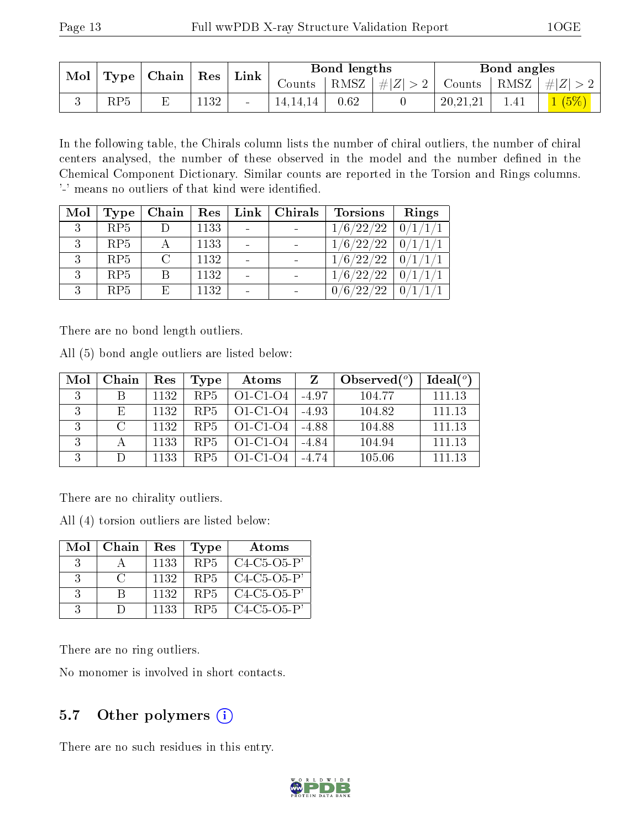| $\bf{Mol}$<br>$\vert$ Type $\vert$ Chain $\vert$ |     |  | $^+$ Res | Link |          | Bond lengths |            | Bond angles |                                                                              |
|--------------------------------------------------|-----|--|----------|------|----------|--------------|------------|-------------|------------------------------------------------------------------------------|
|                                                  |     |  |          |      | Counts   |              |            |             | $\mid$ RMSZ $\mid$ $\# Z  > 2 \mid$ Counts $\mid$ RMSZ $\mid \# Z  > 2 \mid$ |
|                                                  | RP5 |  | 1132     |      | 14.14.14 | 0.62         | 20, 21, 21 | 1.41        |                                                                              |

In the following table, the Chirals column lists the number of chiral outliers, the number of chiral centers analysed, the number of these observed in the model and the number defined in the Chemical Component Dictionary. Similar counts are reported in the Torsion and Rings columns. '-' means no outliers of that kind were identified.

| Mol | Type            | Chain  | Res  | Link   Chirals | <b>Torsions</b> | $\mathbf{Rings}$ |
|-----|-----------------|--------|------|----------------|-----------------|------------------|
| 3   | RP5             |        | 1133 |                | 1/6/22/22       | $-0/1/1/1$       |
|     | RP5             |        | 1133 |                | 1/6/22/22       | 0/1/1/1          |
| 3   | RP5             | $\cap$ | 1132 |                | 1/6/22/22       | 0/1/1/1          |
| 3   | RP5             | B      | 1132 |                | 1/6/22/22       | 0/1/1/           |
| ર   | RP <sub>5</sub> | E      | 1132 |                | 0/6/22/22       | 0/1              |

There are no bond length outliers.

All (5) bond angle outliers are listed below:

| Mol | Chain    | Res  | Type            | Atoms      |         | Observed $(°)$ | Ideal(°) |
|-----|----------|------|-----------------|------------|---------|----------------|----------|
| 3   |          | 1132 | RP <sub>5</sub> | $O1-C1-O4$ | $-4.97$ | 104.77         | 111.13   |
| 2   | Е,       | 1132 | RP5             | $O1-C1-O4$ | $-4.93$ | 104.82         | 111.13   |
| २   | $\Gamma$ | 1132 | RP <sub>5</sub> | $O1-C1-O4$ | -4.88   | 104.88         | 111.13   |
| 2   |          | 1133 | RP <sub>5</sub> | $O1-C1-O4$ | $-4.84$ | 104.94         | 111.13   |
| 2   |          | 1133 | RP5             | O1-C1-O4   | -4 74   | 105.06         | 111 13   |

There are no chirality outliers.

All (4) torsion outliers are listed below:

| Mol                         | Chain          | Res  | <b>Type</b>     | Atoms               |
|-----------------------------|----------------|------|-----------------|---------------------|
| $\beta$                     |                | 1133 | RP <sub>5</sub> | $C4-C5-O5-P'$       |
| $\mathcal{S}_{\mathcal{S}}$ | $\mathfrak{C}$ | 1132 | RP5             | $C4-C5-O5-P'$       |
| -3                          | R              | 1132 | RP <sub>5</sub> | $C4-C5-O5-P'$       |
|                             |                | 1133 | RP5             | $C4 - C5 - O5 - P'$ |

There are no ring outliers.

No monomer is involved in short contacts.

### 5.7 [O](https://www.wwpdb.org/validation/2017/XrayValidationReportHelp#nonstandard_residues_and_ligands)ther polymers (i)

There are no such residues in this entry.

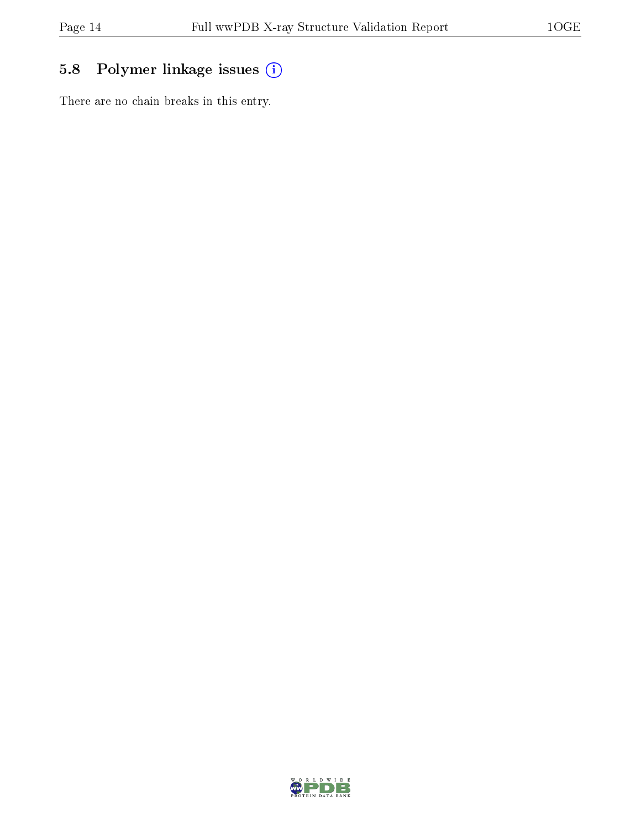## 5.8 Polymer linkage issues (i)

There are no chain breaks in this entry.